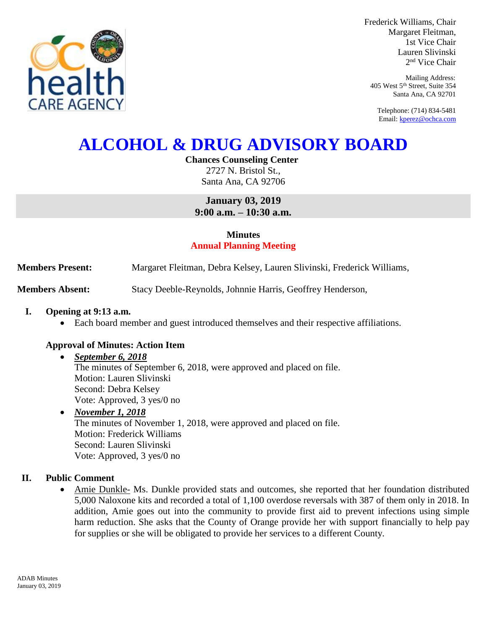

Frederick Williams, Chair Margaret Fleitman, 1st Vice Chair Lauren Slivinski 2 nd Vice Chair

Mailing Address: 405 West 5th Street, Suite 354 Santa Ana, CA 92701

Telephone: (714) 834-5481 Email[: kperez@ochca.com](mailto:kperez@ochca.com)

# **ALCOHOL & DRUG ADVISORY BOARD**

## **Chances Counseling Center**

2727 N. Bristol St., Santa Ana, CA 92706

**January 03, 2019 9:00 a.m. – 10:30 a.m.** 

## **Minutes Annual Planning Meeting**

**Members Present:** Margaret Fleitman, Debra Kelsey, Lauren Slivinski, Frederick Williams,

**Members Absent:** Stacy Deeble-Reynolds, Johnnie Harris, Geoffrey Henderson,

## **I. Opening at 9:13 a.m.**

Each board member and guest introduced themselves and their respective affiliations.

## **Approval of Minutes: Action Item**

#### *September 6, 2018* The minutes of September 6, 2018, were approved and placed on file. Motion: Lauren Slivinski Second: Debra Kelsey Vote: Approved, 3 yes/0 no

## *November 1, 2018* The minutes of November 1, 2018, were approved and placed on file. Motion: Frederick Williams Second: Lauren Slivinski Vote: Approved, 3 yes/0 no

## **II. Public Comment**

 Amie Dunkle- Ms. Dunkle provided stats and outcomes, she reported that her foundation distributed 5,000 Naloxone kits and recorded a total of 1,100 overdose reversals with 387 of them only in 2018. In addition, Amie goes out into the community to provide first aid to prevent infections using simple harm reduction. She asks that the County of Orange provide her with support financially to help pay for supplies or she will be obligated to provide her services to a different County.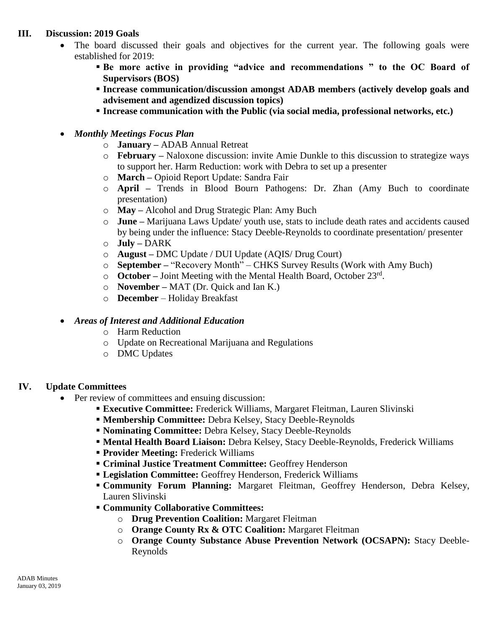## **III. Discussion: 2019 Goals**

- The board discussed their goals and objectives for the current year. The following goals were established for 2019:
	- **Be more active in providing "advice and recommendations " to the OC Board of Supervisors (BOS)**
	- **Increase communication/discussion amongst ADAB members (actively develop goals and advisement and agendized discussion topics)**
	- **Increase communication with the Public (via social media, professional networks, etc.)**
- *Monthly Meetings Focus Plan*
	- o **January –** ADAB Annual Retreat
	- o **February –** Naloxone discussion: invite Amie Dunkle to this discussion to strategize ways to support her. Harm Reduction: work with Debra to set up a presenter
	- o **March –** Opioid Report Update: Sandra Fair
	- o **April –** Trends in Blood Bourn Pathogens: Dr. Zhan (Amy Buch to coordinate presentation)
	- o **May –** Alcohol and Drug Strategic Plan: Amy Buch
	- o **June –** Marijuana Laws Update/ youth use, stats to include death rates and accidents caused by being under the influence: Stacy Deeble-Reynolds to coordinate presentation/ presenter
	- o **July –** DARK
	- o **August –** DMC Update / DUI Update (AQIS/ Drug Court)
	- o **September –** "Recovery Month" CHKS Survey Results (Work with Amy Buch)
	- o **October –** Joint Meeting with the Mental Health Board, October 23rd .
	- o **November –** MAT (Dr. Quick and Ian K.)
	- o **December**  Holiday Breakfast

#### *Areas of Interest and Additional Education*

- o Harm Reduction
- o Update on Recreational Marijuana and Regulations
- o DMC Updates

## **IV. Update Committees**

- Per review of committees and ensuing discussion:
	- **Executive Committee:** Frederick Williams, Margaret Fleitman, Lauren Slivinski
	- **Membership Committee:** Debra Kelsey, Stacy Deeble-Reynolds
	- **Nominating Committee:** Debra Kelsey, Stacy Deeble-Reynolds
	- **Mental Health Board Liaison:** Debra Kelsey, Stacy Deeble-Reynolds, Frederick Williams
	- **Provider Meeting:** Frederick Williams
	- **Criminal Justice Treatment Committee:** Geoffrey Henderson
	- **Legislation Committee:** Geoffrey Henderson, Frederick Williams
	- **Community Forum Planning:** Margaret Fleitman, Geoffrey Henderson, Debra Kelsey, Lauren Slivinski
	- **Community Collaborative Committees:**
		- o **Drug Prevention Coalition:** Margaret Fleitman
		- o **Orange County Rx & OTC Coalition:** Margaret Fleitman
		- o **Orange County Substance Abuse Prevention Network (OCSAPN):** Stacy Deeble-Reynolds